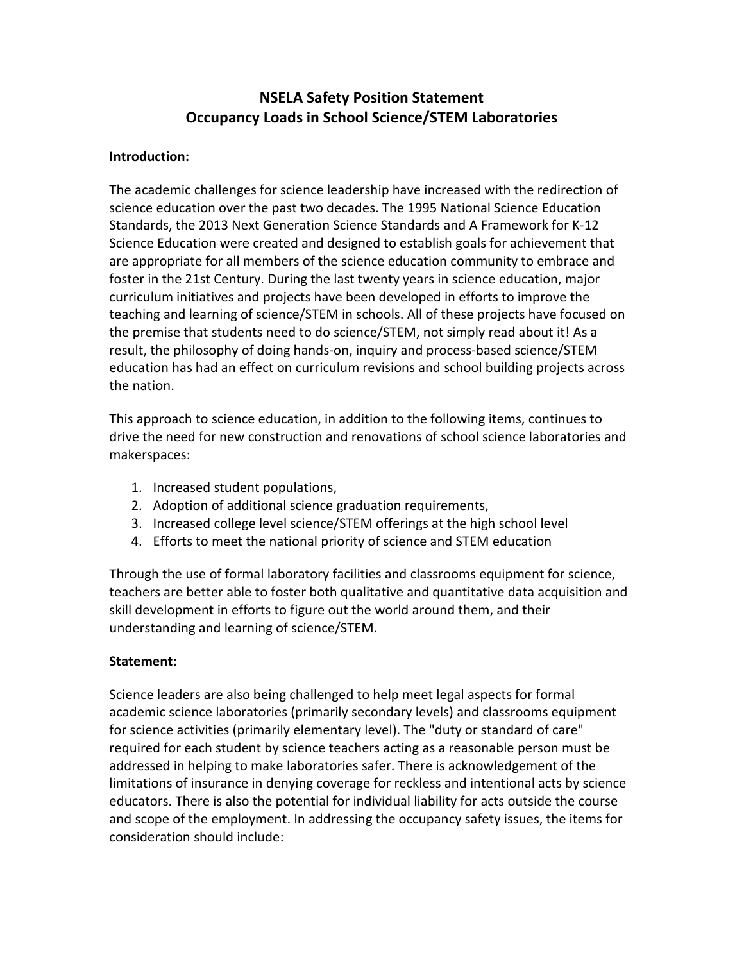# **NSELA Safety Position Statement Occupancy Loads in School Science/STEM Laboratories**

### **Introduction:**

The academic challenges for science leadership have increased with the redirection of science education over the past two decades. The 1995 National Science Education Standards, the 2013 Next Generation Science Standards and A Framework for K-12 Science Education were created and designed to establish goals for achievement that are appropriate for all members of the science education community to embrace and foster in the 21st Century. During the last twenty years in science education, major curriculum initiatives and projects have been developed in efforts to improve the teaching and learning of science/STEM in schools. All of these projects have focused on the premise that students need to do science/STEM, not simply read about it! As a result, the philosophy of doing hands-on, inquiry and process-based science/STEM education has had an effect on curriculum revisions and school building projects across the nation.

This approach to science education, in addition to the following items, continues to drive the need for new construction and renovations of school science laboratories and makerspaces:

- 1. Increased student populations,
- 2. Adoption of additional science graduation requirements,
- 3. Increased college level science/STEM offerings at the high school level
- 4. Efforts to meet the national priority of science and STEM education

Through the use of formal laboratory facilities and classrooms equipment for science, teachers are better able to foster both qualitative and quantitative data acquisition and skill development in efforts to figure out the world around them, and their understanding and learning of science/STEM.

# **Statement:**

Science leaders are also being challenged to help meet legal aspects for formal academic science laboratories (primarily secondary levels) and classrooms equipment for science activities (primarily elementary level). The "duty or standard of care" required for each student by science teachers acting as a reasonable person must be addressed in helping to make laboratories safer. There is acknowledgement of the limitations of insurance in denying coverage for reckless and intentional acts by science educators. There is also the potential for individual liability for acts outside the course and scope of the employment. In addressing the occupancy safety issues, the items for consideration should include: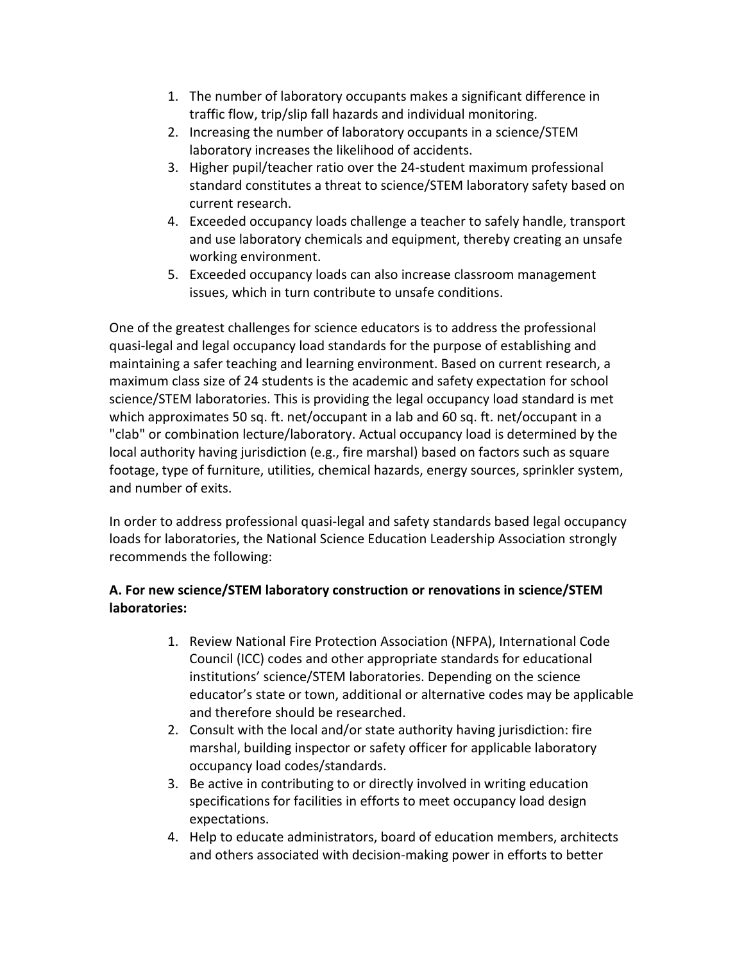- 1. The number of laboratory occupants makes a significant difference in traffic flow, trip/slip fall hazards and individual monitoring.
- 2. Increasing the number of laboratory occupants in a science/STEM laboratory increases the likelihood of accidents.
- 3. Higher pupil/teacher ratio over the 24-student maximum professional standard constitutes a threat to science/STEM laboratory safety based on current research.
- 4. Exceeded occupancy loads challenge a teacher to safely handle, transport and use laboratory chemicals and equipment, thereby creating an unsafe working environment.
- 5. Exceeded occupancy loads can also increase classroom management issues, which in turn contribute to unsafe conditions.

One of the greatest challenges for science educators is to address the professional quasi-legal and legal occupancy load standards for the purpose of establishing and maintaining a safer teaching and learning environment. Based on current research, a maximum class size of 24 students is the academic and safety expectation for school science/STEM laboratories. This is providing the legal occupancy load standard is met which approximates 50 sq. ft. net/occupant in a lab and 60 sq. ft. net/occupant in a "clab" or combination lecture/laboratory. Actual occupancy load is determined by the local authority having jurisdiction (e.g., fire marshal) based on factors such as square footage, type of furniture, utilities, chemical hazards, energy sources, sprinkler system, and number of exits.

In order to address professional quasi-legal and safety standards based legal occupancy loads for laboratories, the National Science Education Leadership Association strongly recommends the following:

# **A. For new science/STEM laboratory construction or renovations in science/STEM laboratories:**

- 1. Review National Fire Protection Association (NFPA), International Code Council (ICC) codes and other appropriate standards for educational institutions' science/STEM laboratories. Depending on the science educator's state or town, additional or alternative codes may be applicable and therefore should be researched.
- 2. Consult with the local and/or state authority having jurisdiction: fire marshal, building inspector or safety officer for applicable laboratory occupancy load codes/standards.
- 3. Be active in contributing to or directly involved in writing education specifications for facilities in efforts to meet occupancy load design expectations.
- 4. Help to educate administrators, board of education members, architects and others associated with decision-making power in efforts to better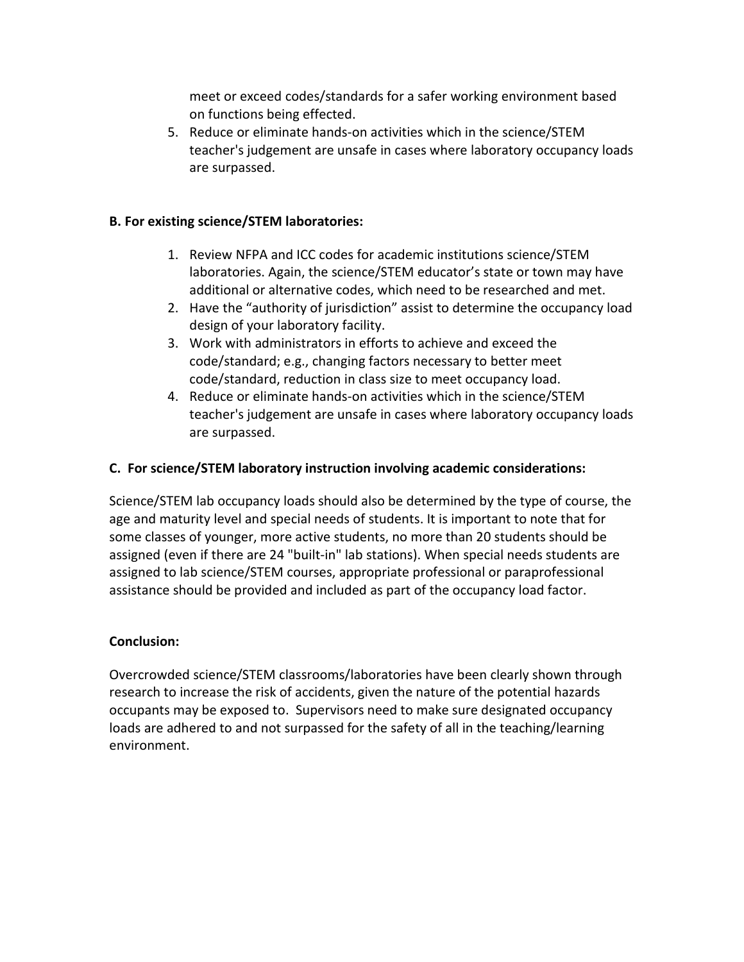meet or exceed codes/standards for a safer working environment based on functions being effected.

5. Reduce or eliminate hands-on activities which in the science/STEM teacher's judgement are unsafe in cases where laboratory occupancy loads are surpassed.

#### **B. For existing science/STEM laboratories:**

- 1. Review NFPA and ICC codes for academic institutions science/STEM laboratories. Again, the science/STEM educator's state or town may have additional or alternative codes, which need to be researched and met.
- 2. Have the "authority of jurisdiction" assist to determine the occupancy load design of your laboratory facility.
- 3. Work with administrators in efforts to achieve and exceed the code/standard; e.g., changing factors necessary to better meet code/standard, reduction in class size to meet occupancy load.
- 4. Reduce or eliminate hands-on activities which in the science/STEM teacher's judgement are unsafe in cases where laboratory occupancy loads are surpassed.

#### **C. For science/STEM laboratory instruction involving academic considerations:**

Science/STEM lab occupancy loads should also be determined by the type of course, the age and maturity level and special needs of students. It is important to note that for some classes of younger, more active students, no more than 20 students should be assigned (even if there are 24 "built-in" lab stations). When special needs students are assigned to lab science/STEM courses, appropriate professional or paraprofessional assistance should be provided and included as part of the occupancy load factor.

#### **Conclusion:**

Overcrowded science/STEM classrooms/laboratories have been clearly shown through research to increase the risk of accidents, given the nature of the potential hazards occupants may be exposed to. Supervisors need to make sure designated occupancy loads are adhered to and not surpassed for the safety of all in the teaching/learning environment.